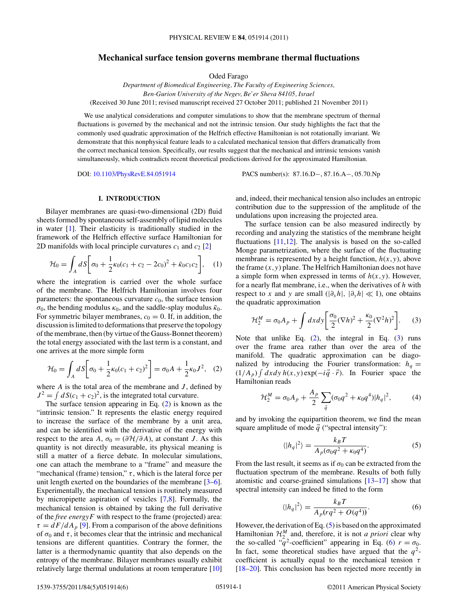# <span id="page-0-0"></span>**Mechanical surface tension governs membrane thermal fluctuations**

Oded Farago

*Department of Biomedical Engineering, The Faculty of Engineering Sciences, Ben-Gurion University of the Negev, Be'er Sheva 84105, Israel* (Received 30 June 2011; revised manuscript received 27 October 2011; published 21 November 2011)

We use analytical considerations and computer simulations to show that the membrane spectrum of thermal fluctuations is governed by the mechanical and not the intrinsic tension. Our study highlights the fact that the commonly used quadratic approximation of the Helfrich effective Hamiltonian is not rotationally invariant. We demonstrate that this nonphysical feature leads to a calculated mechanical tension that differs dramatically from the correct mechanical tension. Specifically, our results suggest that the mechanical and intrinsic tensions vanish simultaneously, which contradicts recent theoretical predictions derived for the approximated Hamiltonian.

DOI: [10.1103/PhysRevE.84.051914](http://dx.doi.org/10.1103/PhysRevE.84.051914) PACS number(s): 87*.*16*.*D−, 87*.*16*.*A−, 05*.*70*.*Np

# **I. INTRODUCTION**

Bilayer membranes are quasi-two-dimensional (2D) fluid sheets formed by spontaneous self-assembly of lipid molecules in water [\[1\]](#page-5-0). Their elasticity is traditionally studied in the framework of the Helfrich effective surface Hamiltonian for 2D manifolds with local principle curvatures  $c_1$  and  $c_2$  [\[2\]](#page-5-0)

$$
\mathcal{H}_0 = \int_A dS \bigg[ \sigma_0 + \frac{1}{2} \kappa_0 (c_1 + c_2 - 2c_0)^2 + \bar{\kappa}_0 c_1 c_2 \bigg], \quad (1)
$$

where the integration is carried over the whole surface of the membrane. The Helfrich Hamiltonian involves four parameters: the spontaneous curvature  $c_0$ , the surface tension  $\sigma_0$ , the bending modulus  $\kappa_0$ , and the saddle-splay modulus  $\bar{\kappa}_0$ . For symmetric bilayer membranes,  $c_0 = 0$ . If, in addition, the discussion is limited to deformations that preserve the topology of the membrane, then (by virtue of the Gauss-Bonnet theorem) the total energy associated with the last term is a constant, and one arrives at the more simple form

$$
\mathcal{H}_0 = \int_A dS \bigg[ \sigma_0 + \frac{1}{2} \kappa_0 (c_1 + c_2)^2 \bigg] = \sigma_0 A + \frac{1}{2} \kappa_0 J^2, \quad (2)
$$

where *A* is the total area of the membrane and *J* , defined by  $J^2 = \int dS(c_1 + c_2)^2$ , is the integrated total curvature.

The surface tension appearing in Eq. (2) is known as the "intrinsic tension." It represents the elastic energy required to increase the surface of the membrane by a unit area, and can be identified with the derivative of the energy with respect to the area *A*,  $\sigma_0 = (\partial \mathcal{H}/\partial A)$ , at constant *J*. As this quantity is not directly measurable, its physical meaning is still a matter of a fierce debate. In molecular simulations, one can attach the membrane to a "frame" and measure the "mechanical (frame) tension,"  $\tau$ , which is the lateral force per unit length exerted on the boundaries of the membrane [\[3–6\]](#page-5-0). Experimentally, the mechanical tension is routinely measured by micropipette aspiration of vesicles [\[7,8\]](#page-5-0). Formally, the mechanical tension is obtained by taking the full derivative of the *free energyF* with respect to the frame (projected) area:  $\tau = dF/dA_p$  [\[9\]](#page-5-0). From a comparison of the above definitions of  $\sigma_0$  and  $\tau$ , it becomes clear that the intrinsic and mechanical tensions are different quantities. Contrary the former, the latter is a thermodynamic quantity that also depends on the entropy of the membrane. Bilayer membranes usually exhibit relatively large thermal undulations at room temperature [\[10\]](#page-5-0)

and, indeed, their mechanical tension also includes an entropic contribution due to the suppression of the amplitude of the undulations upon increasing the projected area.

The surface tension can be also measured indirectly by recording and analyzing the statistics of the membrane height fluctuations  $[11,12]$ . The analysis is based on the so-called Monge parametrization, where the surface of the fluctuating membrane is represented by a height function,  $h(x, y)$ , above the frame  $(x, y)$  plane. The Helfrich Hamiltonian does not have a simple form when expressed in terms of  $h(x, y)$ . However, for a nearly flat membrane, i.e., when the derivatives of *h* with respect to *x* and *y* are small  $(|\partial_x h|, |\partial_y h| \ll 1)$ , one obtains the quadratic approximation

$$
\mathcal{H}_2^M = \sigma_0 A_p + \int dx dy \bigg[ \frac{\sigma_0}{2} (\nabla h)^2 + \frac{\kappa_0}{2} (\nabla^2 h)^2 \bigg]. \tag{3}
$$

Note that unlike Eq. (2), the integral in Eq. (3) runs over the frame area rather than over the area of the manifold. The quadratic approximation can be diagonalized by introducing the Fourier transformation:  $h_q =$  $(1/A_p)$   $\int dx dy h(x, y) \exp(-i\vec{q} \cdot \vec{r})$ . In Fourier space the Hamiltonian reads

$$
\mathcal{H}_2^M = \sigma_0 A_p + \frac{A_p}{2} \sum_{\vec{q}} (\sigma_0 q^2 + \kappa_0 q^4) |h_q|^2, \tag{4}
$$

and by invoking the equipartition theorem, we find the mean square amplitude of mode  $\vec{q}$  ("spectral intensity"):

$$
\langle |h_q|^2 \rangle = \frac{k_B T}{A_p(\sigma_0 q^2 + \kappa_0 q^4)}.\tag{5}
$$

From the last result, it seems as if  $\sigma_0$  can be extracted from the fluctuation spectrum of the membrane. Results of both fully atomistic and coarse-grained simulations [\[13–17\]](#page-5-0) show that spectral intensity can indeed be fitted to the form

$$
\langle |h_q|^2 \rangle = \frac{k_B T}{A_p (r q^2 + O(q^4))}.
$$
\n<sup>(6)</sup>

However, the derivation of Eq. (5) is based on the approximated Hamiltonian  $\mathcal{H}_2^M$  and, therefore, it is not *a priori* clear why the so-called " $q^2$ -coefficient" appearing in Eq. (6)  $r = \sigma_0$ . In fact, some theoretical studies have argued that the  $q^2$ coefficient is actually equal to the mechanical tension *τ* [\[18–20\]](#page-5-0). This conclusion has been rejected more recently in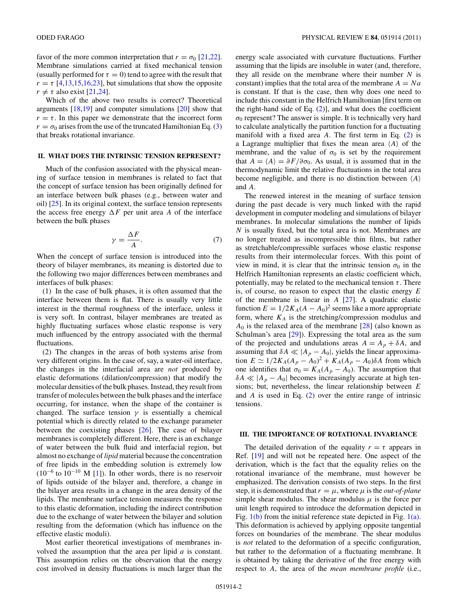<span id="page-1-0"></span>favor of the more common interpretation that  $r = \sigma_0$  [\[21,22\]](#page-5-0). Membrane simulations carried at fixed mechanical tension (usually performed for  $\tau = 0$ ) tend to agree with the result that  $r = \tau$  [\[4,13,15,16,23\]](#page-5-0), but simulations that show the opposite  $r \neq \tau$  also exist [\[21,24\]](#page-5-0).

Which of the above two results is correct? Theoretical arguments  $[18,19]$  and computer simulations  $[20]$  show that  $r = \tau$ . In this paper we demonstrate that the incorrect form  $r = \sigma_0$  arises from the use of the truncated Hamiltonian Eq. [\(3\)](#page-0-0) that breaks rotational invariance.

### **II. WHAT DOES THE INTRINSIC TENSION REPRESENT?**

Much of the confusion associated with the physical meaning of surface tension in membranes is related to fact that the concept of surface tension has been originally defined for an interface between bulk phases (e.g., between water and oil) [\[25\]](#page-5-0). In its original context, the surface tension represents the access free energy  $\Delta F$  per unit area *A* of the interface between the bulk phases

$$
\gamma = \frac{\Delta F}{A}.\tag{7}
$$

When the concept of surface tension is introduced into the theory of bilayer membranes, its meaning is distorted due to the following two major differences between membranes and interfaces of bulk phases:

(1) In the case of bulk phases, it is often assumed that the interface between them is flat. There is usually very little interest in the thermal roughness of the interface, unless it is very soft. In contrast, bilayer membranes are treated as highly fluctuating surfaces whose elastic response is very much influenced by the entropy associated with the thermal fluctuations.

(2) The changes in the areas of both systems arise from very different origins. In the case of, say, a water-oil interface, the changes in the interfacial area are *not* produced by elastic deformations (dilation/compression) that modify the molecular densities of the bulk phases. Instead, they result from transfer of molecules between the bulk phases and the interface occurring, for instance, when the shape of the container is changed. The surface tension  $\gamma$  is essentially a chemical potential which is directly related to the exchange parameter between the coexisting phases [\[26\]](#page-5-0). The case of bilayer membranes is completely different. Here, there is an exchange of water between the bulk fluid and interfacial region, but almost no exchange of *lipid* material because the concentration of free lipids in the embedding solution is extremely low  $(10^{-6}$  to  $10^{-10}$  M [\[1\]](#page-5-0)). In other words, there is no reservoir of lipids outside of the bilayer and, therefore, a change in the bilayer area results in a change in the area density of the lipids. The membrane surface tension measures the response to this elastic deformation, including the indirect contribution due to the exchange of water between the bilayer and solution resulting from the deformation (which has influence on the effective elastic moduli).

Most earlier theoretical investigations of membranes involved the assumption that the area per lipid *a* is constant. This assumption relies on the observation that the energy cost involved in density fluctuations is much larger than the energy scale associated with curvature fluctuations. Further assuming that the lipids are insoluble in water (and, therefore, they all reside on the membrane where their number *N* is constant) implies that the total area of the membrane  $A = Na$ is constant. If that is the case, then why does one need to include this constant in the Helfrich Hamiltonian [first term on the right-hand side of Eq.  $(2)$ ], and what does the coefficient  $\sigma_0$  represent? The answer is simple. It is technically very hard to calculate analytically the partition function for a fluctuating manifold with a fixed area *A*. The first term in Eq. [\(2\)](#page-0-0) is a Lagrange multiplier that fixes the mean area  $\langle A \rangle$  of the membrane, and the value of  $\sigma_0$  is set by the requirement that  $A = \langle A \rangle = \partial F / \partial \sigma_0$ . As usual, it is assumed that in the thermodynamic limit the relative fluctuations in the total area become negligible, and there is no distinction between *A* and *A*.

The renewed interest in the meaning of surface tension during the past decade is very much linked with the rapid development in computer modeling and simulations of bilayer membranes. In molecular simulations the number of lipids *N* is usually fixed, but the total area is not. Membranes are no longer treated as incompressible thin films, but rather as stretchable/compressible surfaces whose elastic response results from their intermolecular forces. With this point of view in mind, it is clear that the intrinsic tension  $\sigma_0$  in the Helfrich Hamiltonian represents an elastic coefficient which, potentially, may be related to the mechanical tension  $\tau$ . There is, of course, no reason to expect that the elastic energy *E* of the membrane is linear in *A* [\[27\]](#page-5-0). A quadratic elastic function  $E = 1/2K_A(A - A_0)^2$  seems like a more appropriate form, where  $K_A$  is the stretching/compression modulus and  $A_0$  is the relaxed area of the membrane  $[28]$  (also known as Schulman's area [\[29\]](#page-5-0)). Expressing the total area as the sum of the projected and undulations areas  $A = A_p + \delta A$ , and assuming that  $\delta A \ll |A_p - A_0|$ , yields the linear approximation  $E \simeq 1/2K_A(A_p - A_0)^2 + K_A(A_p - A_0)δA$  from which one identifies that  $\sigma_0 = K_A(A_p - A_0)$ . The assumption that  $\delta A \ll |A_p - A_0|$  becomes increasingly accurate at high tensions; but, nevertheless, the linear relationship between *E* and *A* is used in Eq. [\(2\)](#page-0-0) over the entire range of intrinsic tensions.

## **III. THE IMPORTANCE OF ROTATIONAL INVARIANCE**

The detailed derivation of the equality  $r = \tau$  appears in Ref. [\[19\]](#page-5-0) and will not be repeated here. One aspect of the derivation, which is the fact that the equality relies on the rotational invariance of the membrane, must however be emphasized. The derivation consists of two steps. In the first step, it is demonstrated that  $r = \mu$ , where  $\mu$  is the *out-of-plane* simple shear modulus. The shear modulus  $\mu$  is the force per unit length required to introduce the deformation depicted in Fig.  $1(b)$  from the initial reference state depicted in Fig.  $1(a)$ . This deformation is achieved by applying opposite tangential forces on boundaries of the membrane. The shear modulus is *not* related to the deformation of a specific configuration, but rather to the deformation of a fluctuating membrane. It is obtained by taking the derivative of the free energy with respect to *A*, the area of the *mean membrane profile* (i.e.,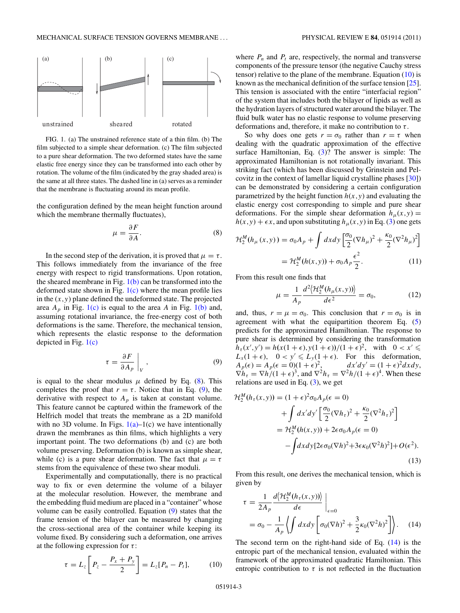<span id="page-2-0"></span>

FIG. 1. (a) The unstrained reference state of a thin film. (b) The film subjected to a simple shear deformation. (c) The film subjected to a pure shear deformation. The two deformed states have the same elastic free energy since they can be transformed into each other by rotation. The volume of the film (indicated by the gray shaded area) is the same at all three states. The dashed line in (a) serves as a reminder that the membrane is fluctuating around its mean profile.

the configuration defined by the mean height function around which the membrane thermally fluctuates),

$$
\mu = \frac{\partial F}{\partial A}.\tag{8}
$$

In the second step of the derivation, it is proved that  $\mu = \tau$ . This follows immediately from the invariance of the free energy with respect to rigid transformations. Upon rotation, the sheared membrane in Fig.  $1(b)$  can be transformed into the deformed state shown in Fig.  $1(c)$  where the mean profile lies in the  $(x, y)$  plane defined the undeformed state. The projected area  $A_p$  in Fig. 1(c) is equal to the area A in Fig. 1(b) and, assuming rotational invariance, the free-energy cost of both deformations is the same. Therefore, the mechanical tension, which represents the elastic response to the deformation depicted in Fig. 1(c)

$$
\tau = \frac{\partial F}{\partial A_p} \bigg|_V, \tag{9}
$$

is equal to the shear modulus  $\mu$  defined by Eq. (8). This completes the proof that  $r = \tau$ . Notice that in Eq. (9), the derivative with respect to  $A_p$  is taken at constant volume. This feature cannot be captured within the framework of the Helfrich model that treats the membrane as a 2D manifold with no 3D volume. In Figs.  $1(a)-1(c)$  we have intentionally drawn the membranes as thin films, which highlights a very important point. The two deformations (b) and (c) are both volume preserving. Deformation (b) is known as simple shear, while (c) is a pure shear deformation. The fact that  $\mu = \tau$ stems from the equivalence of these two shear moduli.

Experimentally and computationally, there is no practical way to fix or even determine the volume of a bilayer at the molecular resolution. However, the membrane and the embedding fluid medium are placed in a "container" whose volume can be easily controlled. Equation (9) states that the frame tension of the bilayer can be measured by changing the cross-sectional area of the container while keeping its volume fixed. By considering such a deformation, one arrives at the following expression for *τ* :

$$
\tau = L_z \left[ P_z - \frac{P_x + P_y}{2} \right] = L_z [P_n - P_t], \tag{10}
$$

where  $P_n$  and  $P_t$  are, respectively, the normal and transverse components of the pressure tensor (the negative Cauchy stress tensor) relative to the plane of the membrane. Equation  $(10)$  is known as the mechanical definition of the surface tension [\[25\]](#page-5-0). This tension is associated with the entire "interfacial region" of the system that includes both the bilayer of lipids as well as the hydration layers of structured water around the bilayer. The fluid bulk water has no elastic response to volume preserving deformations and, therefore, it make no contribution to *τ* .

So why does one gets  $r = \sigma_0$  rather than  $r = \tau$  when dealing with the quadratic approximation of the effective surface Hamiltonian, Eq. [\(3\)](#page-0-0)? The answer is simple: The approximated Hamiltonian is not rotationally invariant. This striking fact (which has been discussed by Grinstein and Pelcovitz in the context of lamellar liquid crystalline phases [\[30\]](#page-5-0)) can be demonstrated by considering a certain configuration parametrized by the height function  $h(x, y)$  and evaluating the elastic energy cost corresponding to simple and pure shear deformations. For the simple shear deformation  $h<sub>\mu</sub>(x, y) =$  $h(x, y) + \epsilon x$ , and upon substituting  $h<sub>\mu</sub>(x, y)$  in Eq. [\(3\)](#page-0-0) one gets

$$
\mathcal{H}_2^M(h_\mu(x, y)) = \sigma_0 A_p + \int dx dy \left[ \frac{\sigma_0}{2} (\nabla h_\mu)^2 + \frac{\kappa_0}{2} (\nabla^2 h_\mu)^2 \right]
$$
  
=  $\mathcal{H}_2^M(h(x, y)) + \sigma_0 A_p \frac{\epsilon^2}{2}.$  (11)

From this result one finds that

$$
\mu = \frac{1}{A_p} \frac{d^2 \langle \mathcal{H}_2^M(h_\mu(x, y)) \rangle}{d\epsilon^2} = \sigma_0,\tag{12}
$$

and, thus,  $r = \mu = \sigma_0$ . This conclusion that  $r = \sigma_0$  is in agreement with what the equipartition theorem Eq. [\(5\)](#page-0-0) predicts for the approximated Hamiltonian. The response to pure shear is determined by considering the transformation  $h_{\tau}(x', y') = h(x(1 + \epsilon), y(1 + \epsilon))/(1 + \epsilon)^2$ , with  $0 < x' \le$  $L_x(1+\epsilon)$ ,  $0 < y' \le L_y(1+\epsilon)$ . For this deformation,  $A_p(\epsilon) = A_p(\epsilon = 0)(1 + \epsilon)^2$ , <sup>2</sup>,  $dx'dy' = (1+\epsilon)^2 dxdy,$  $\nabla h_{\tau} = \nabla h / (1 + \epsilon)^3$ , and  $\nabla^2 h_{\tau} = \nabla^2 h / (1 + \epsilon)^4$ . When these relations are used in Eq.  $(3)$ , we get

$$
\mathcal{H}_2^M(h_\tau(x, y)) = (1 + \epsilon)^2 \sigma_0 A_p(\epsilon = 0)
$$
  
+ 
$$
\int dx'dy' \left[ \frac{\sigma_0}{2} (\nabla h_\tau)^2 + \frac{\kappa_0}{2} (\nabla^2 h_\tau)^2 \right]
$$
  
= 
$$
\mathcal{H}_2^M(h(x, y)) + 2\epsilon \sigma_0 A_p(\epsilon = 0)
$$
  
- 
$$
\int dx dy [2\epsilon \sigma_0 (\nabla h)^2 + 3\epsilon \kappa_0 (\nabla^2 h)^2] + O(\epsilon^2).
$$
 (13)

From this result, one derives the mechanical tension, which is given by

$$
\tau = \frac{1}{2A_p} \frac{d\langle \mathcal{H}_2^M(h_\tau(x, y)) \rangle}{d\epsilon} \Big|_{\epsilon=0}
$$
  
=  $\sigma_0 - \frac{1}{A_p} \langle \int dx dy \left[ \sigma_0 (\nabla h)^2 + \frac{3}{2} \kappa_0 (\nabla^2 h)^2 \right] \rangle.$  (14)

The second term on the right-hand side of Eq. (14) is the entropic part of the mechanical tension, evaluated within the framework of the approximated quadratic Hamiltonian. This entropic contribution to  $\tau$  is not reflected in the fluctuation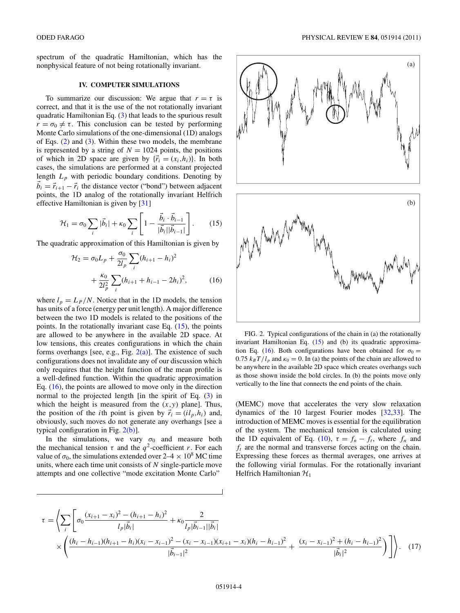<span id="page-3-0"></span>spectrum of the quadratic Hamiltonian, which has the nonphysical feature of not being rotationally invariant.

### **IV. COMPUTER SIMULATIONS**

To summarize our discussion: We argue that  $r = \tau$  is correct, and that it is the use of the not rotationally invariant quadratic Hamiltonian Eq. [\(3\)](#page-0-0) that leads to the spurious result  $r = \sigma_0 \neq \tau$ . This conclusion can be tested by performing Monte Carlo simulations of the one-dimensional (1D) analogs of Eqs. [\(2\)](#page-0-0) and [\(3\)](#page-0-0). Within these two models, the membrane is represented by a string of  $N = 1024$  points, the positions of which in 2D space are given by  $\{\vec{r}_i = (x_i, h_i)\}\)$ . In both cases, the simulations are performed at a constant projected length  $L_p$  with periodic boundary conditions. Denoting by  $b_i = \vec{r}_{i+1} - \vec{r}_i$  the distance vector ("bond") between adjacent points, the 1D analog of the rotationally invariant Helfrich effective Hamiltonian is given by [\[31\]](#page-5-0)

$$
\mathcal{H}_1 = \sigma_0 \sum_i |\vec{b}_i| + \kappa_0 \sum_i \left[ 1 - \frac{\vec{b}_i \cdot \vec{b}_{i-1}}{|\vec{b}_i||\vec{b}_{i-1}|} \right].
$$
 (15)

The quadratic approximation of this Hamiltonian is given by

$$
\mathcal{H}_2 = \sigma_0 L_p + \frac{\sigma_0}{2l_p} \sum_i (h_{i+1} - h_i)^2
$$
  
+ 
$$
\frac{\kappa_0}{2l_p^2} \sum_i (h_{i+1} + h_{i-1} - 2h_i)^2,
$$
 (16)

where  $l_p = L_p/N$ . Notice that in the 1D models, the tension has units of a force (energy per unit length). A major difference between the two 1D models is related to the positions of the points. In the rotationally invariant case Eq.  $(15)$ , the points are allowed to be anywhere in the available 2D space. At low tensions, this creates configurations in which the chain forms overhangs [see, e.g., Fig.  $2(a)$ ]. The existence of such configurations does not invalidate any of our discussion which only requires that the height function of the mean profile is a well-defined function. Within the quadratic approximation Eq. (16), the points are allowed to move only in the direction normal to the projected length [in the spirit of Eq. [\(3\)](#page-0-0) in which the height is measured from the (*x,y*) plane]. Thus, the position of the *i*th point is given by  $\vec{r}_i = (i l_p, h_i)$  and, obviously, such moves do not generate any overhangs [see a typical configuration in Fig.  $2(b)$ ].

In the simulations, we vary  $\sigma_0$  and measure both the mechanical tension  $\tau$  and the  $q^2$ -coefficient *r*. For each value of  $\sigma_0$ , the simulations extended over  $2-4 \times 10^8$  MC time units, where each time unit consists of *N* single-particle move attempts and one collective "mode excitation Monte Carlo"



FIG. 2. Typical configurations of the chain in (a) the rotationally invariant Hamiltonian Eq. (15) and (b) its quadratic approximation Eq. (16). Both configurations have been obtained for  $\sigma_0 =$ 0.75  $k_B T / l_p$  and  $\kappa_0 = 0$ . In (a) the points of the chain are allowed to be anywhere in the available 2D space which creates overhangs such as those shown inside the bold circles. In (b) the points move only vertically to the line that connects the end points of the chain.

(MEMC) move that accelerates the very slow relaxation dynamics of the 10 largest Fourier modes [\[32,33\]](#page-5-0). The introduction of MEMC moves is essential for the equilibration of the system. The mechanical tension is calculated using the 1D equivalent of Eq. [\(10\)](#page-2-0),  $\tau = f_n - f_t$ , where  $f_n$  and *ft* are the normal and transverse forces acting on the chain. Expressing these forces as thermal averages, one arrives at the following virial formulas. For the rotationally invariant Helfrich Hamiltonian  $\mathcal{H}_1$ 

$$
\tau = \left\langle \sum_{i} \left[ \sigma_0 \frac{(x_{i+1} - x_i)^2 - (h_{i+1} - h_i)^2}{l_p |\vec{b}_i|} + \kappa_0 \frac{2}{l_p |\vec{b}_{i-1}| |\vec{b}_i|} \right. \right. \\ \left. \times \left( \frac{(h_i - h_{i-1})(h_{i+1} - h_i)(x_i - x_{i-1})^2 - (x_i - x_{i-1})(x_{i+1} - x_i)(h_i - h_{i-1})^2}{|\vec{b}_{i-1}|^2} + \frac{(x_i - x_{i-1})^2 + (h_i - h_{i-1})^2}{|\vec{b}_i|^2} \right) \right\rangle. \tag{17}
$$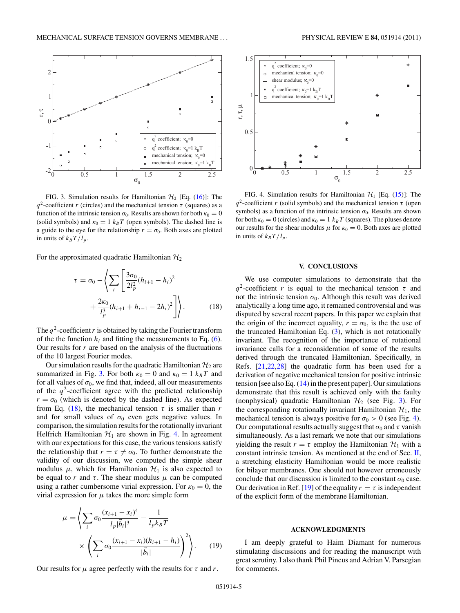

FIG. 3. Simulation results for Hamiltonian  $H_2$  [Eq. [\(16\)](#page-3-0)]: The *q*<sup>2</sup>-coefficient *r* (circles) and the mechanical tension  $\tau$  (squares) as a function of the intrinsic tension  $\sigma_0$ . Results are shown for both  $\kappa_0 = 0$ (solid symbols) and  $\kappa_0 = 1$   $k_B T$  (open symbols). The dashed line is a guide to the eye for the relationship  $r = \sigma_0$ . Both axes are plotted in units of  $k_BT/l_p$ .

For the approximated quadratic Hamiltonian  $\mathcal{H}_2$ 

$$
\tau = \sigma_0 - \left\langle \sum_{i} \left[ \frac{3\sigma_0}{2l_p^2} (h_{i+1} - h_i)^2 + \frac{2\kappa_0}{l_p^3} (h_{i+1} + h_{i-1} - 2h_i)^2 \right] \right\rangle.
$$
 (18)

The  $q^2$ -coefficient r is obtained by taking the Fourier transform of the the function  $h_i$  and fitting the measurements to Eq. [\(6\)](#page-0-0). Our results for  $r$  are based on the analysis of the fluctuations of the 10 largest Fourier modes.

Our simulation results for the quadratic Hamiltonian  $\mathcal{H}_2$  are summarized in Fig. 3. For both  $\kappa_0 = 0$  and  $\kappa_0 = 1$   $k_B T$  and for all values of  $\sigma_0$ , we find that, indeed, all our measurements of the  $q^2$ -coefficient agree with the predicted relationship  $r = \sigma_0$  (which is denoted by the dashed line). As expected from Eq. (18), the mechanical tension  $\tau$  is smaller than *r* and for small values of  $\sigma_0$  even gets negative values. In comparison, the simulation results for the rotationally invariant Helfrich Hamiltonian  $H_1$  are shown in Fig. 4. In agreement with our expectations for this case, the various tensions satisfy the relationship that  $r = \tau \neq \sigma_0$ . To further demonstrate the validity of our discussion, we computed the simple shear modulus  $\mu$ , which for Hamiltonian  $\mathcal{H}_1$  is also expected to be equal to *r* and  $\tau$ . The shear modulus  $\mu$  can be computed using a rather cumbersome virial expression. For  $\kappa_0 = 0$ , the virial expression for  $\mu$  takes the more simple form

$$
\mu = \left\langle \sum_{i} \sigma_0 \frac{(x_{i+1} - x_i)^4}{l_p |\vec{b}_i|^3} - \frac{1}{l_p k_B T} \right\rangle \times \left( \sum_{i} \sigma_0 \frac{(x_{i+1} - x_i)(h_{i+1} - h_i)}{|\vec{b}_i|} \right)^2 \right\rangle.
$$
 (19)

Our results for  $\mu$  agree perfectly with the results for  $\tau$  and  $r$ .



FIG. 4. Simulation results for Hamiltonian  $H_1$  [Eq. [\(15\)](#page-3-0)]: The *q*2-coefficient *r* (solid symbols) and the mechanical tension *τ* (open symbols) as a function of the intrinsic tension  $\sigma_0$ . Results are shown for both  $\kappa_0 = 0$  (circles) and  $\kappa_0 = 1$   $k_B T$  (squares). The pluses denote our results for the shear modulus  $\mu$  for  $\kappa_0 = 0$ . Both axes are plotted in units of  $k_B T/l_p$ .

#### **V. CONCLUSIONS**

We use computer simulations to demonstrate that the  $q^2$ -coefficient *r* is equal to the mechanical tension  $\tau$  and not the intrinsic tension  $\sigma_0$ . Although this result was derived analytically a long time ago, it remained controversial and was disputed by several recent papers. In this paper we explain that the origin of the incorrect equality,  $r = \sigma_0$ , is the the use of the truncated Hamiltonian Eq.  $(3)$ , which is not rotationally invariant. The recognition of the importance of rotational invariance calls for a reconsideration of some of the results derived through the truncated Hamiltonian. Specifically, in Refs. [\[21,22,28\]](#page-5-0) the quadratic form has been used for a derivation of negative mechanical tension for positive intrinsic tension [see also Eq. [\(14\)](#page-2-0) in the present paper]. Our simulations demonstrate that this result is achieved only with the faulty (nonphysical) quadratic Hamiltonian  $H_2$  (see Fig. 3). For the corresponding rotationally invariant Hamiltonian  $\mathcal{H}_1$ , the mechanical tension is always positive for  $\sigma_0 > 0$  (see Fig. 4). Our computational results actually suggest that  $\sigma_0$  and  $\tau$  vanish simultaneously. As a last remark we note that our simulations yielding the result  $r = \tau$  employ the Hamiltonian  $\mathcal{H}_1$  with a constant intrinsic tension. As mentioned at the end of Sec.  $II$ , a stretching elasticity Hamiltonian would be more realistic for bilayer membranes. One should not however erroneously conclude that our discussion is limited to the constant  $\sigma_0$  case. Our derivation in Ref. [\[19\]](#page-5-0) of the equality  $r = \tau$  is independent of the explicit form of the membrane Hamiltonian.

#### **ACKNOWLEDGMENTS**

I am deeply grateful to Haim Diamant for numerous stimulating discussions and for reading the manuscript with great scrutiny. I also thank Phil Pincus and Adrian V. Parsegian for comments.